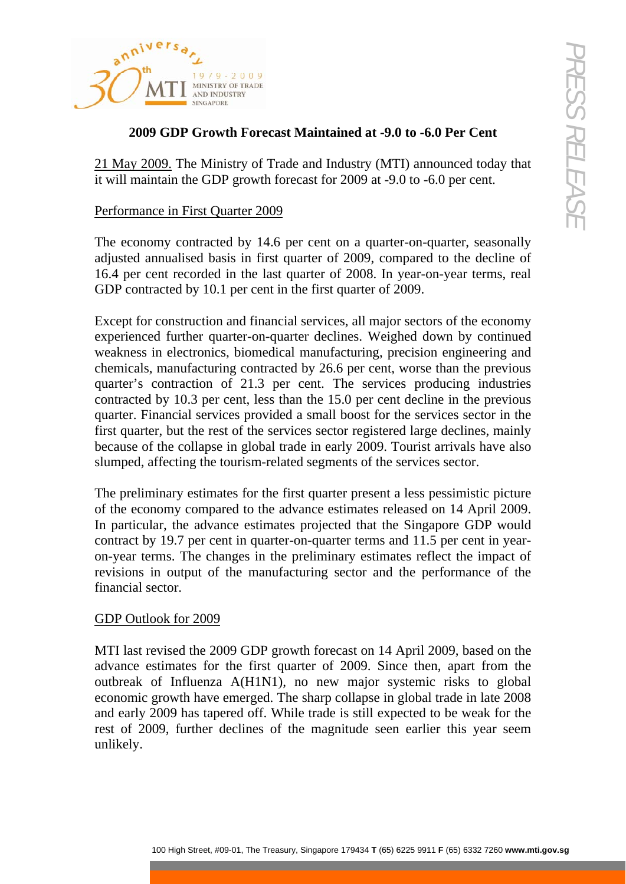

## **2009 GDP Growth Forecast Maintained at -9.0 to -6.0 Per Cent**

21 May 2009. The Ministry of Trade and Industry (MTI) announced today that it will maintain the GDP growth forecast for 2009 at -9.0 to -6.0 per cent.

## Performance in First Quarter 2009

The economy contracted by 14.6 per cent on a quarter-on-quarter, seasonally adjusted annualised basis in first quarter of 2009, compared to the decline of 16.4 per cent recorded in the last quarter of 2008. In year-on-year terms, real GDP contracted by 10.1 per cent in the first quarter of 2009.

**Example 19**<br> **CDP Growth Porecast Maintained at -9.0 to -6.0 Pcr Cent**<br> **CDP Growth Porecast Maintained at -9.0 to -6.0 Pcr Cent**<br> **Example 2002**<br> **CDP Growth Porecast Maintained at -9.0 to -6.0 Pcr Cent**<br> **Example 2014** Except for construction and financial services, all major sectors of the economy experienced further quarter-on-quarter declines. Weighed down by continued weakness in electronics, biomedical manufacturing, precision engineering and chemicals, manufacturing contracted by 26.6 per cent, worse than the previous quarter's contraction of 21.3 per cent. The services producing industries contracted by 10.3 per cent, less than the 15.0 per cent decline in the previous quarter. Financial services provided a small boost for the services sector in the first quarter, but the rest of the services sector registered large declines, mainly because of the collapse in global trade in early 2009. Tourist arrivals have also slumped, affecting the tourism-related segments of the services sector.

The preliminary estimates for the first quarter present a less pessimistic picture of the economy compared to the advance estimates released on 14 April 2009. In particular, the advance estimates projected that the Singapore GDP would contract by 19.7 per cent in quarter-on-quarter terms and 11.5 per cent in yearon-year terms. The changes in the preliminary estimates reflect the impact of revisions in output of the manufacturing sector and the performance of the financial sector.

### GDP Outlook for 2009

MTI last revised the 2009 GDP growth forecast on 14 April 2009, based on the advance estimates for the first quarter of 2009. Since then, apart from the outbreak of Influenza A(H1N1), no new major systemic risks to global economic growth have emerged. The sharp collapse in global trade in late 2008 and early 2009 has tapered off. While trade is still expected to be weak for the rest of 2009, further declines of the magnitude seen earlier this year seem unlikely.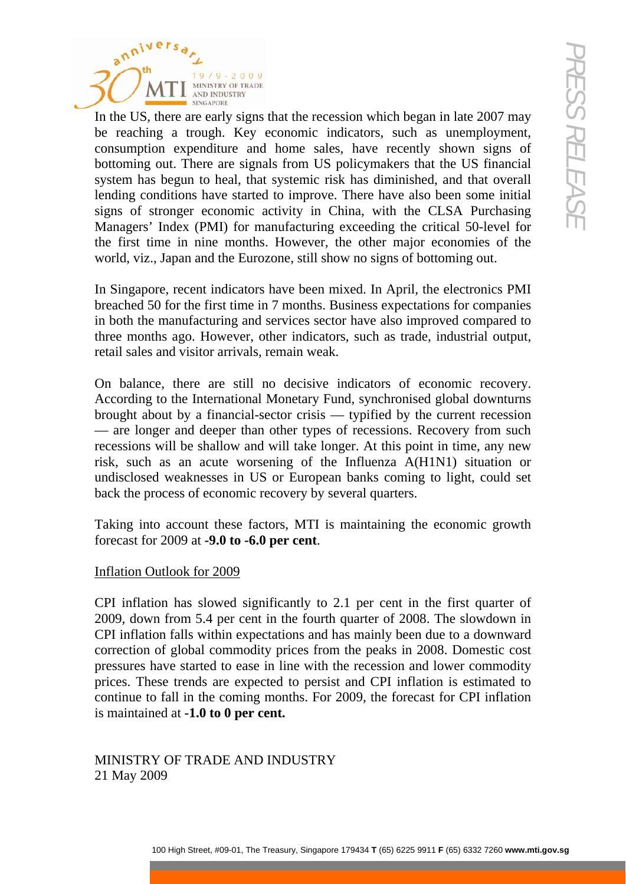

**Example 1998**<br>
the mare carried with the recession which hegan in late 2007 map<br>
ng a trough . Key economic indicators, such as unemployment.<br>
The accuracy show recently shown is given to be a finally decided<br>
out. There In the US, there are early signs that the recession which began in late 2007 may be reaching a trough. Key economic indicators, such as unemployment, consumption expenditure and home sales, have recently shown signs of bottoming out. There are signals from US policymakers that the US financial system has begun to heal, that systemic risk has diminished, and that overall lending conditions have started to improve. There have also been some initial signs of stronger economic activity in China, with the CLSA Purchasing Managers' Index (PMI) for manufacturing exceeding the critical 50-level for the first time in nine months. However, the other major economies of the world, viz., Japan and the Eurozone, still show no signs of bottoming out.

In Singapore, recent indicators have been mixed. In April, the electronics PMI breached 50 for the first time in 7 months. Business expectations for companies in both the manufacturing and services sector have also improved compared to three months ago. However, other indicators, such as trade, industrial output, retail sales and visitor arrivals, remain weak.

On balance, there are still no decisive indicators of economic recovery. According to the International Monetary Fund, synchronised global downturns brought about by a financial-sector crisis — typified by the current recession — are longer and deeper than other types of recessions. Recovery from such recessions will be shallow and will take longer. At this point in time, any new risk, such as an acute worsening of the Influenza A(H1N1) situation or undisclosed weaknesses in US or European banks coming to light, could set back the process of economic recovery by several quarters.

Taking into account these factors, MTI is maintaining the economic growth forecast for 2009 at **-9.0 to -6.0 per cent**.

# Inflation Outlook for 2009

CPI inflation has slowed significantly to 2.1 per cent in the first quarter of 2009, down from 5.4 per cent in the fourth quarter of 2008. The slowdown in CPI inflation falls within expectations and has mainly been due to a downward correction of global commodity prices from the peaks in 2008. Domestic cost pressures have started to ease in line with the recession and lower commodity prices. These trends are expected to persist and CPI inflation is estimated to continue to fall in the coming months. For 2009, the forecast for CPI inflation is maintained at **-1.0 to 0 per cent.**

MINISTRY OF TRADE AND INDUSTRY 21 May 2009